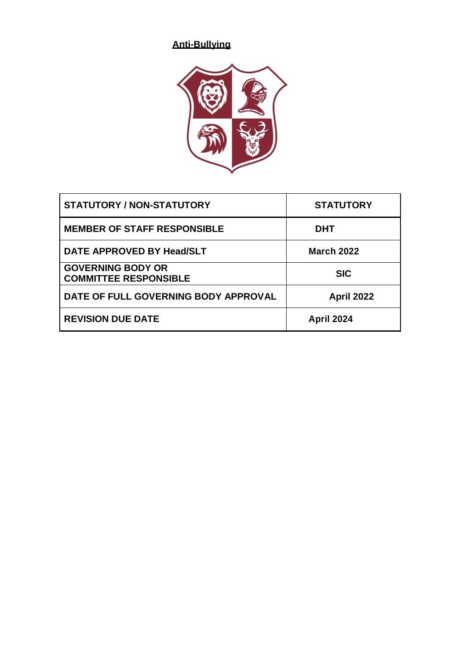# **Anti-Bullying**



| <b>STATUTORY / NON-STATUTORY</b>                         | <b>STATUTORY</b>  |
|----------------------------------------------------------|-------------------|
| <b>MEMBER OF STAFF RESPONSIBLE</b>                       | <b>DHT</b>        |
| DATE APPROVED BY Head/SLT                                | <b>March 2022</b> |
| <b>GOVERNING BODY OR</b><br><b>COMMITTEE RESPONSIBLE</b> | <b>SIC</b>        |
| DATE OF FULL GOVERNING BODY APPROVAL                     | <b>April 2022</b> |
| <b>REVISION DUE DATE</b>                                 | <b>April 2024</b> |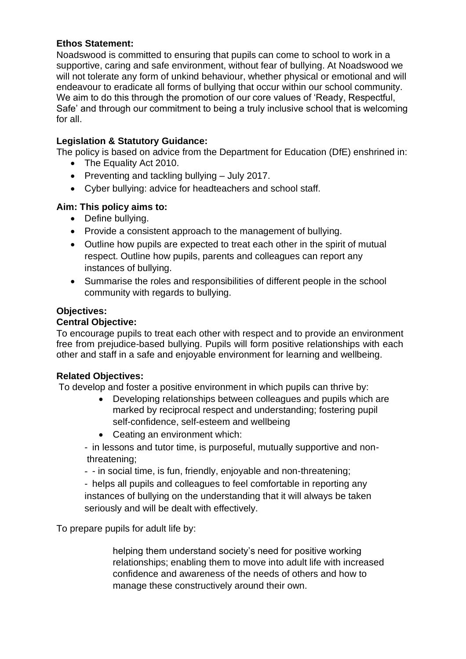## **Ethos Statement:**

Noadswood is committed to ensuring that pupils can come to school to work in a supportive, caring and safe environment, without fear of bullying. At Noadswood we will not tolerate any form of unkind behaviour, whether physical or emotional and will endeavour to eradicate all forms of bullying that occur within our school community. We aim to do this through the promotion of our core values of 'Ready, Respectful, Safe' and through our commitment to being a truly inclusive school that is welcoming for all.

## **Legislation & Statutory Guidance:**

The policy is based on advice from the Department for Education (DfE) enshrined in:

- The Equality Act 2010.
- Preventing and tackling bullying July 2017.
- Cyber bullying: advice for headteachers and school staff.

## **Aim: This policy aims to:**

- Define bullying.
- Provide a consistent approach to the management of bullying.
- Outline how pupils are expected to treat each other in the spirit of mutual respect. Outline how pupils, parents and colleagues can report any instances of bullying.
- Summarise the roles and responsibilities of different people in the school community with regards to bullying.

## **Objectives:**

## **Central Objective:**

To encourage pupils to treat each other with respect and to provide an environment free from prejudice-based bullying. Pupils will form positive relationships with each other and staff in a safe and enjoyable environment for learning and wellbeing.

#### **Related Objectives:**

To develop and foster a positive environment in which pupils can thrive by:

- Developing relationships between colleagues and pupils which are marked by reciprocal respect and understanding; fostering pupil self-confidence, self-esteem and wellbeing
- Ceating an environment which:
- in lessons and tutor time, is purposeful, mutually supportive and nonthreatening;
- - in social time, is fun, friendly, enjoyable and non-threatening;

- helps all pupils and colleagues to feel comfortable in reporting any instances of bullying on the understanding that it will always be taken seriously and will be dealt with effectively.

To prepare pupils for adult life by:

helping them understand society's need for positive working relationships; enabling them to move into adult life with increased confidence and awareness of the needs of others and how to manage these constructively around their own.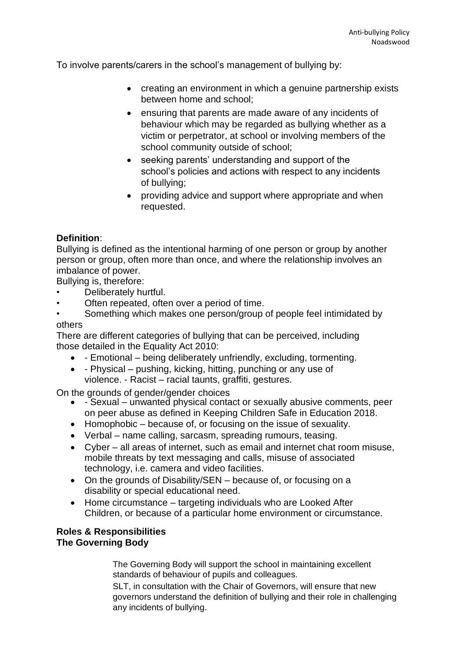To involve parents/carers in the school's management of bullying by:

- creating an environment in which a genuine partnership exists between home and school;
- ensuring that parents are made aware of any incidents of behaviour which may be regarded as bullying whether as a victim or perpetrator, at school or involving members of the school community outside of school;
- seeking parents' understanding and support of the school's policies and actions with respect to any incidents of bullying;
- providing advice and support where appropriate and when requested.

# **Definition**:

Bullying is defined as the intentional harming of one person or group by another person or group, often more than once, and where the relationship involves an imbalance of power.

Bullying is, therefore:

- Deliberately hurtful.
- Often repeated, often over a period of time.
- Something which makes one person/group of people feel intimidated by others

There are different categories of bullying that can be perceived, including those detailed in the Equality Act 2010:

- - Emotional being deliberately unfriendly, excluding, tormenting.
- - Physical pushing, kicking, hitting, punching or any use of violence. - Racist – racial taunts, graffiti, gestures.

On the grounds of gender/gender choices

- - Sexual unwanted physical contact or sexually abusive comments, peer on peer abuse as defined in Keeping Children Safe in Education 2018.
- Homophobic because of, or focusing on the issue of sexuality.
- Verbal name calling, sarcasm, spreading rumours, teasing.
- Cyber all areas of internet, such as email and internet chat room misuse, mobile threats by text messaging and calls, misuse of associated technology, i.e. camera and video facilities.
- On the grounds of Disability/SEN because of, or focusing on a disability or special educational need.
- Home circumstance targeting individuals who are Looked After Children, or because of a particular home environment or circumstance.

#### **Roles & Responsibilities The Governing Body**

The Governing Body will support the school in maintaining excellent standards of behaviour of pupils and colleagues.

SLT, in consultation with the Chair of Governors, will ensure that new governors understand the definition of bullying and their role in challenging any incidents of bullying.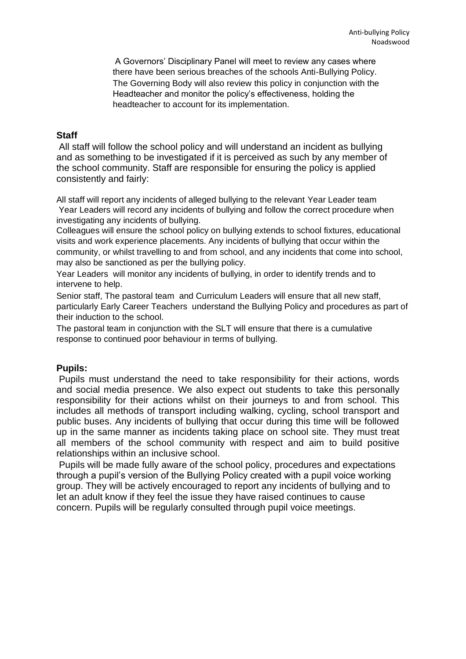A Governors' Disciplinary Panel will meet to review any cases where there have been serious breaches of the schools Anti-Bullying Policy. The Governing Body will also review this policy in conjunction with the Headteacher and monitor the policy's effectiveness, holding the headteacher to account for its implementation.

#### **Staff**

All staff will follow the school policy and will understand an incident as bullying and as something to be investigated if it is perceived as such by any member of the school community. Staff are responsible for ensuring the policy is applied consistently and fairly:

All staff will report any incidents of alleged bullying to the relevant Year Leader team Year Leaders will record any incidents of bullying and follow the correct procedure when investigating any incidents of bullying.

Colleagues will ensure the school policy on bullying extends to school fixtures, educational visits and work experience placements. Any incidents of bullying that occur within the community, or whilst travelling to and from school, and any incidents that come into school, may also be sanctioned as per the bullying policy.

Year Leaders will monitor any incidents of bullying, in order to identify trends and to intervene to help.

Senior staff, The pastoral team and Curriculum Leaders will ensure that all new staff, particularly Early Career Teachers understand the Bullying Policy and procedures as part of their induction to the school.

The pastoral team in conjunction with the SLT will ensure that there is a cumulative response to continued poor behaviour in terms of bullying.

#### **Pupils:**

Pupils must understand the need to take responsibility for their actions, words and social media presence. We also expect out students to take this personally responsibility for their actions whilst on their journeys to and from school. This includes all methods of transport including walking, cycling, school transport and public buses. Any incidents of bullying that occur during this time will be followed up in the same manner as incidents taking place on school site. They must treat all members of the school community with respect and aim to build positive relationships within an inclusive school.

Pupils will be made fully aware of the school policy, procedures and expectations through a pupil's version of the Bullying Policy created with a pupil voice working group. They will be actively encouraged to report any incidents of bullying and to let an adult know if they feel the issue they have raised continues to cause concern. Pupils will be regularly consulted through pupil voice meetings.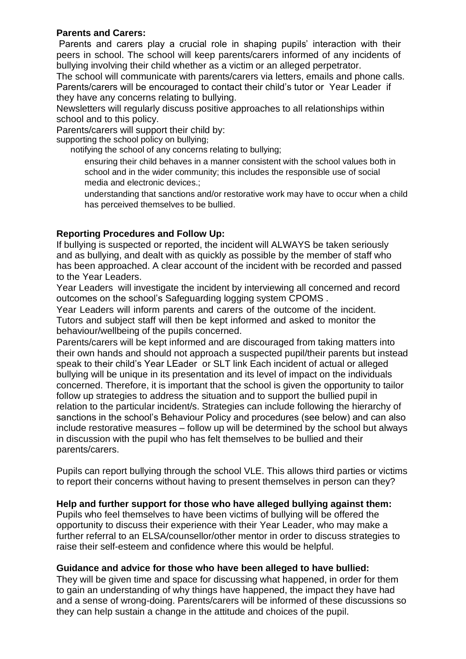#### **Parents and Carers:**

Parents and carers play a crucial role in shaping pupils' interaction with their peers in school. The school will keep parents/carers informed of any incidents of bullying involving their child whether as a victim or an alleged perpetrator.

The school will communicate with parents/carers via letters, emails and phone calls. Parents/carers will be encouraged to contact their child's tutor or Year Leader if they have any concerns relating to bullying.

Newsletters will regularly discuss positive approaches to all relationships within school and to this policy.

Parents/carers will support their child by:

supporting the school policy on bullying;

notifying the school of any concerns relating to bullying;

ensuring their child behaves in a manner consistent with the school values both in school and in the wider community; this includes the responsible use of social media and electronic devices.;

understanding that sanctions and/or restorative work may have to occur when a child has perceived themselves to be bullied.

## **Reporting Procedures and Follow Up:**

If bullying is suspected or reported, the incident will ALWAYS be taken seriously and as bullying, and dealt with as quickly as possible by the member of staff who has been approached. A clear account of the incident with be recorded and passed to the Year Leaders.

Year Leaders will investigate the incident by interviewing all concerned and record outcomes on the school's Safeguarding logging system CPOMS .

Year Leaders will inform parents and carers of the outcome of the incident. Tutors and subject staff will then be kept informed and asked to monitor the behaviour/wellbeing of the pupils concerned.

Parents/carers will be kept informed and are discouraged from taking matters into their own hands and should not approach a suspected pupil/their parents but instead speak to their child's Year LEader or SLT link Each incident of actual or alleged bullying will be unique in its presentation and its level of impact on the individuals concerned. Therefore, it is important that the school is given the opportunity to tailor follow up strategies to address the situation and to support the bullied pupil in relation to the particular incident/s. Strategies can include following the hierarchy of sanctions in the school's Behaviour Policy and procedures (see below) and can also include restorative measures – follow up will be determined by the school but always in discussion with the pupil who has felt themselves to be bullied and their parents/carers.

Pupils can report bullying through the school VLE. This allows third parties or victims to report their concerns without having to present themselves in person can they?

# **Help and further support for those who have alleged bullying against them:**

Pupils who feel themselves to have been victims of bullying will be offered the opportunity to discuss their experience with their Year Leader, who may make a further referral to an ELSA/counsellor/other mentor in order to discuss strategies to raise their self-esteem and confidence where this would be helpful.

#### **Guidance and advice for those who have been alleged to have bullied:**

They will be given time and space for discussing what happened, in order for them to gain an understanding of why things have happened, the impact they have had and a sense of wrong-doing. Parents/carers will be informed of these discussions so they can help sustain a change in the attitude and choices of the pupil.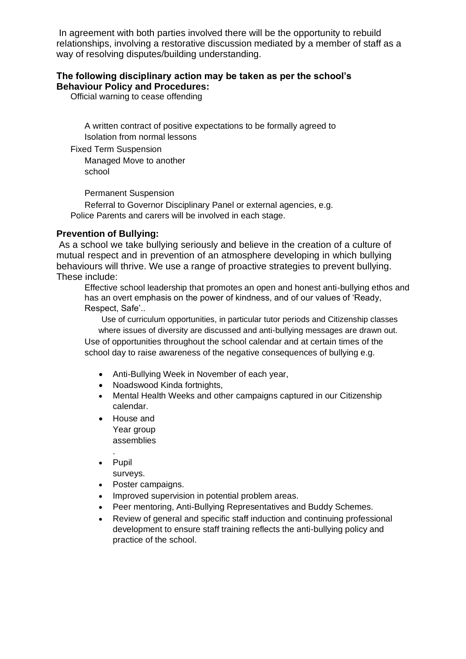In agreement with both parties involved there will be the opportunity to rebuild relationships, involving a restorative discussion mediated by a member of staff as a way of resolving disputes/building understanding.

#### **The following disciplinary action may be taken as per the school's Behaviour Policy and Procedures:**

Official warning to cease offending

A written contract of positive expectations to be formally agreed to Isolation from normal lessons

Fixed Term Suspension

Managed Move to another school

Permanent Suspension

Referral to Governor Disciplinary Panel or external agencies, e.g. Police Parents and carers will be involved in each stage.

#### **Prevention of Bullying:**

As a school we take bullying seriously and believe in the creation of a culture of mutual respect and in prevention of an atmosphere developing in which bullying behaviours will thrive. We use a range of proactive strategies to prevent bullying. These include:

Effective school leadership that promotes an open and honest anti-bullying ethos and has an overt emphasis on the power of kindness, and of our values of 'Ready, Respect, Safe'..

Use of curriculum opportunities, in particular tutor periods and Citizenship classes where issues of diversity are discussed and anti-bullying messages are drawn out.

Use of opportunities throughout the school calendar and at certain times of the school day to raise awareness of the negative consequences of bullying e.g.

- Anti-Bullying Week in November of each year,
- Noadswood Kinda fortnights,
- Mental Health Weeks and other campaigns captured in our Citizenship calendar.
- House and Year group assemblies
- . • Pupil

surveys.

- Poster campaigns.
- Improved supervision in potential problem areas.
- Peer mentoring, Anti-Bullying Representatives and Buddy Schemes.
- Review of general and specific staff induction and continuing professional development to ensure staff training reflects the anti-bullying policy and practice of the school.